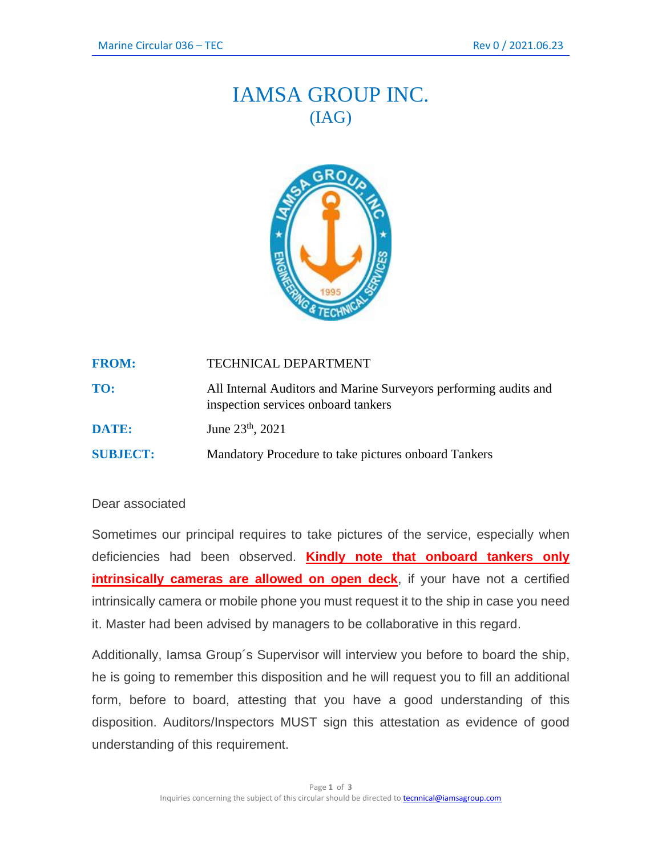## IAMSA GROUP INC. (IAG)



| <b>FROM:</b>    | <b>TECHNICAL DEPARTMENT</b>                                                                             |
|-----------------|---------------------------------------------------------------------------------------------------------|
| TO:             | All Internal Auditors and Marine Surveyors performing audits and<br>inspection services onboard tankers |
| DATE:           | June 23 <sup>th</sup> , 2021                                                                            |
| <b>SUBJECT:</b> | Mandatory Procedure to take pictures onboard Tankers                                                    |

## Dear associated

Sometimes our principal requires to take pictures of the service, especially when deficiencies had been observed. **Kindly note that onboard tankers only intrinsically cameras are allowed on open deck**, if your have not a certified intrinsically camera or mobile phone you must request it to the ship in case you need it. Master had been advised by managers to be collaborative in this regard.

Additionally, Iamsa Group´s Supervisor will interview you before to board the ship, he is going to remember this disposition and he will request you to fill an additional form, before to board, attesting that you have a good understanding of this disposition. Auditors/Inspectors MUST sign this attestation as evidence of good understanding of this requirement.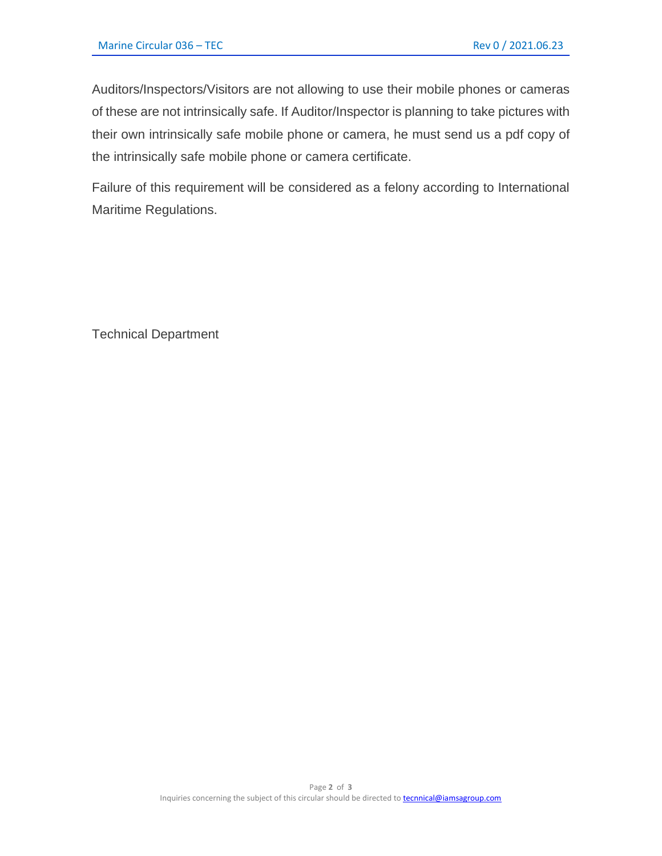Auditors/Inspectors/Visitors are not allowing to use their mobile phones or cameras of these are not intrinsically safe. If Auditor/Inspector is planning to take pictures with their own intrinsically safe mobile phone or camera, he must send us a pdf copy of the intrinsically safe mobile phone or camera certificate.

Failure of this requirement will be considered as a felony according to International Maritime Regulations.

Technical Department